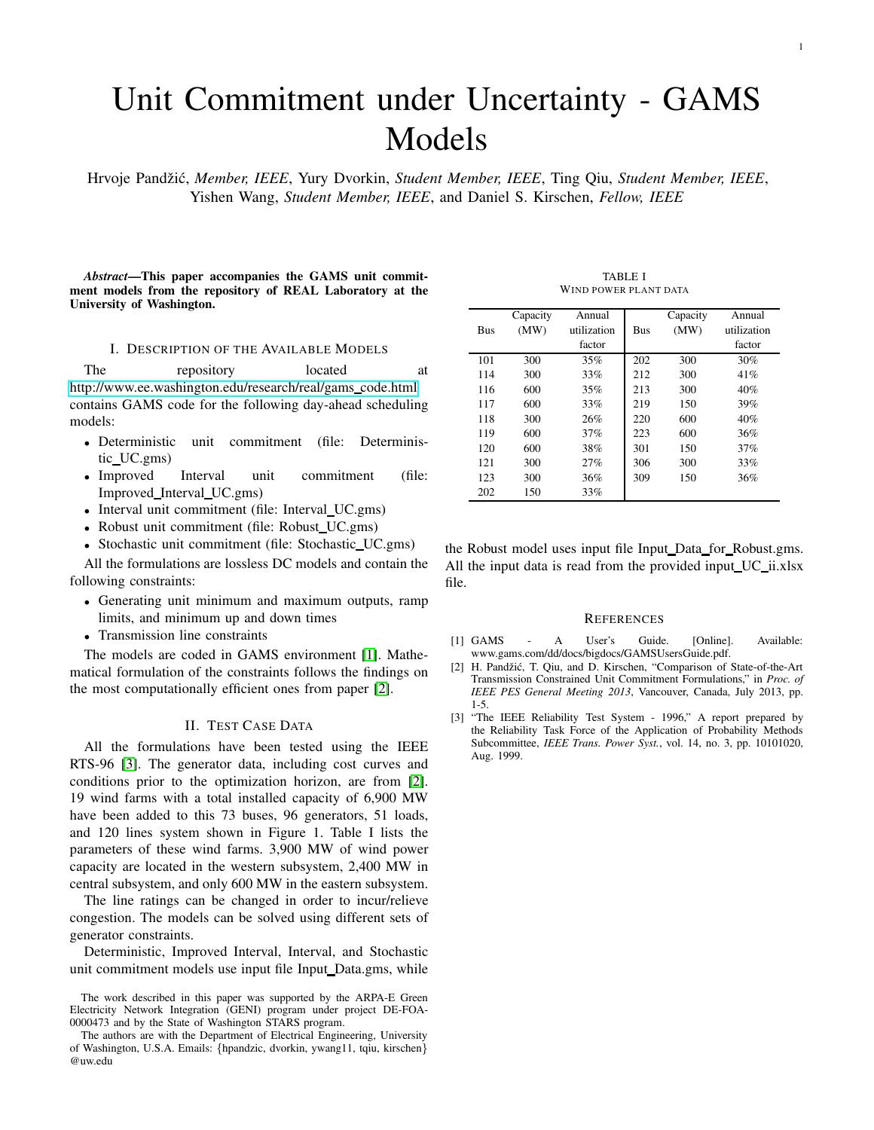## Unit Commitment under Uncertainty - GAMS Models

Hrvoje Pandˇzi´c, *Member, IEEE*, Yury Dvorkin, *Student Member, IEEE*, Ting Qiu, *Student Member, IEEE*, Yishen Wang, *Student Member, IEEE*, and Daniel S. Kirschen, *Fellow, IEEE*

*Abstract*—This paper accompanies the GAMS unit commitment models from the repository of REAL Laboratory at the University of Washington.

## I. DESCRIPTION OF THE AVAILABLE MODELS

The repository located at [http://www.ee.washington.edu/research/real/gams](http://www.ee.washington.edu/research/real/gams_code.html) code.html contains GAMS code for the following day-ahead scheduling models:

- Deterministic unit commitment (file: Deterministic UC.gms)
- Improved Interval unit commitment (file: Improved Interval UC.gms)
- Interval unit commitment (file: Interval\_UC.gms)
- Robust unit commitment (file: Robust\_UC.gms)
- Stochastic unit commitment (file: Stochastic\_UC.gms)

All the formulations are lossless DC models and contain the following constraints:

- Generating unit minimum and maximum outputs, ramp limits, and minimum up and down times
- Transmission line constraints

The models are coded in GAMS environment [\[1\]](#page-0-0). Mathematical formulation of the constraints follows the findings on the most computationally efficient ones from paper [\[2\]](#page-0-1).

## II. TEST CASE DATA

All the formulations have been tested using the IEEE RTS-96 [\[3\]](#page-0-2). The generator data, including cost curves and conditions prior to the optimization horizon, are from [\[2\]](#page-0-1). 19 wind farms with a total installed capacity of 6,900 MW have been added to this 73 buses, 96 generators, 51 loads, and 120 lines system shown in Figure 1. Table I lists the parameters of these wind farms. 3,900 MW of wind power capacity are located in the western subsystem, 2,400 MW in central subsystem, and only 600 MW in the eastern subsystem.

The line ratings can be changed in order to incur/relieve congestion. The models can be solved using different sets of generator constraints.

Deterministic, Improved Interval, Interval, and Stochastic unit commitment models use input file Input Data.gms, while

The work described in this paper was supported by the ARPA-E Green Electricity Network Integration (GENI) program under project DE-FOA-0000473 and by the State of Washington STARS program.

TABLE I WIND POWER PLANT DATA

|     | Capacity | Annual      |            | Capacity | Annual      |
|-----|----------|-------------|------------|----------|-------------|
| Bus | (MW)     | utilization | <b>Bus</b> | (MW)     | utilization |
|     |          | factor      |            |          | factor      |
| 101 | 300      | 35%         | 202        | 300      | 30%         |
| 114 | 300      | 33%         | 212        | 300      | 41%         |
| 116 | 600      | 35%         | 213        | 300      | 40%         |
| 117 | 600      | 33%         | 219        | 150      | 39%         |
| 118 | 300      | 26%         | 220        | 600      | 40%         |
| 119 | 600      | 37%         | 223        | 600      | 36%         |
| 120 | 600      | 38%         | 301        | 150      | 37%         |
| 121 | 300      | 27%         | 306        | 300      | 33%         |
| 123 | 300      | 36%         | 309        | 150      | 36%         |
| 202 | 150      | 33%         |            |          |             |

the Robust model uses input file Input\_Data\_for\_Robust.gms. All the input data is read from the provided input\_UC\_ii.xlsx file.

## **REFERENCES**

- <span id="page-0-0"></span>[1] GAMS - A User's Guide. [Online]. Available: www.gams.com/dd/docs/bigdocs/GAMSUsersGuide.pdf.
- <span id="page-0-1"></span>[2] H. Pandžić, T. Qiu, and D. Kirschen, "Comparison of State-of-the-Art Transmission Constrained Unit Commitment Formulations," in *Proc. of IEEE PES General Meeting 2013*, Vancouver, Canada, July 2013, pp. 1-5.
- <span id="page-0-2"></span>[3] "The IEEE Reliability Test System - 1996," A report prepared by the Reliability Task Force of the Application of Probability Methods Subcommittee, *IEEE Trans. Power Syst.*, vol. 14, no. 3, pp. 10101020, Aug. 1999.

The authors are with the Department of Electrical Engineering, University of Washington, U.S.A. Emails: {hpandzic, dvorkin, ywang11, tqiu, kirschen} @uw.edu